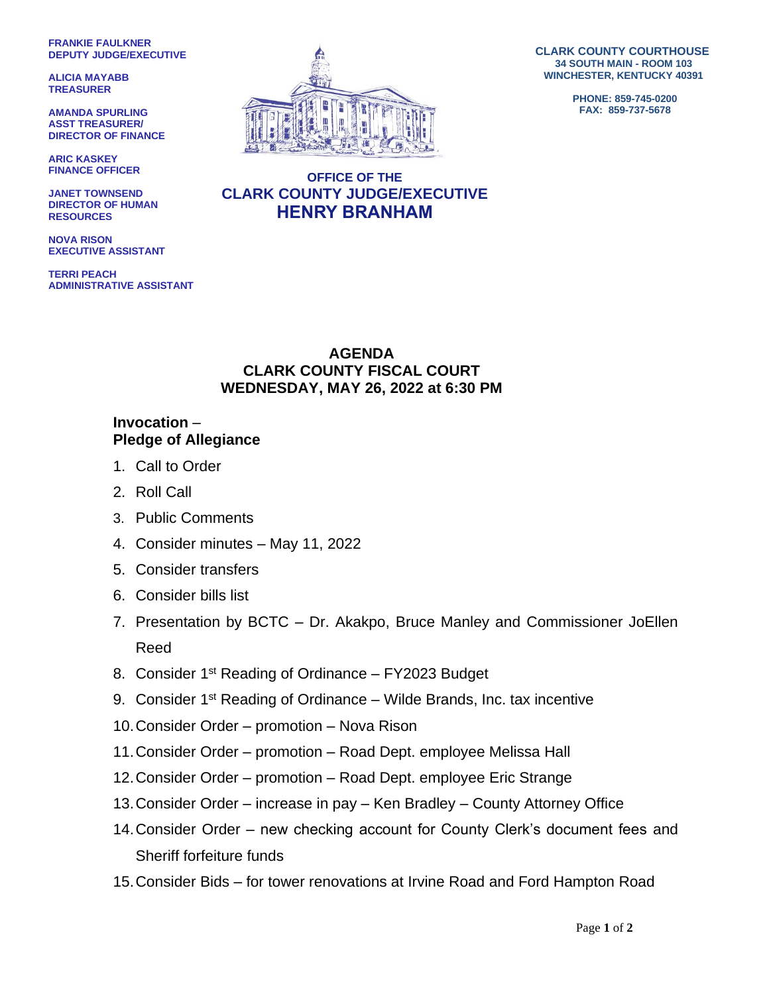**FRANKIE FAULKNER DEPUTY JUDGE/EXECUTIVE**

**ALICIA MAYABB TREASURER**

**AMANDA SPURLING ASST TREASURER/ DIRECTOR OF FINANCE**

**ARIC KASKEY FINANCE OFFICER**

**JANET TOWNSEND DIRECTOR OF HUMAN RESOURCES**

**NOVA RISON EXECUTIVE ASSISTANT**

**TERRI PEACH ADMINISTRATIVE ASSISTANT**



**CLARK COUNTY COURTHOUSE 34 SOUTH MAIN - ROOM 103 WINCHESTER, KENTUCKY 40391**

> **PHONE: 859-745-0200 FAX: 859-737-5678**

## **OFFICE OF THE CLARK COUNTY JUDGE/EXECUTIVE HENRY BRANHAM**

## **AGENDA CLARK COUNTY FISCAL COURT WEDNESDAY, MAY 26, 2022 at 6:30 PM**

## **Invocation** – **Pledge of Allegiance**

- 1. Call to Order
- 2. Roll Call
- 3. Public Comments
- 4. Consider minutes May 11, 2022
- 5. Consider transfers
- 6. Consider bills list
- 7. Presentation by BCTC Dr. Akakpo, Bruce Manley and Commissioner JoEllen Reed
- 8. Consider 1<sup>st</sup> Reading of Ordinance FY2023 Budget
- 9. Consider  $1<sup>st</sup>$  Reading of Ordinance Wilde Brands, Inc. tax incentive
- 10.Consider Order promotion Nova Rison
- 11.Consider Order promotion Road Dept. employee Melissa Hall
- 12.Consider Order promotion Road Dept. employee Eric Strange
- 13.Consider Order increase in pay Ken Bradley County Attorney Office
- 14.Consider Order new checking account for County Clerk's document fees and Sheriff forfeiture funds
- 15.Consider Bids for tower renovations at Irvine Road and Ford Hampton Road